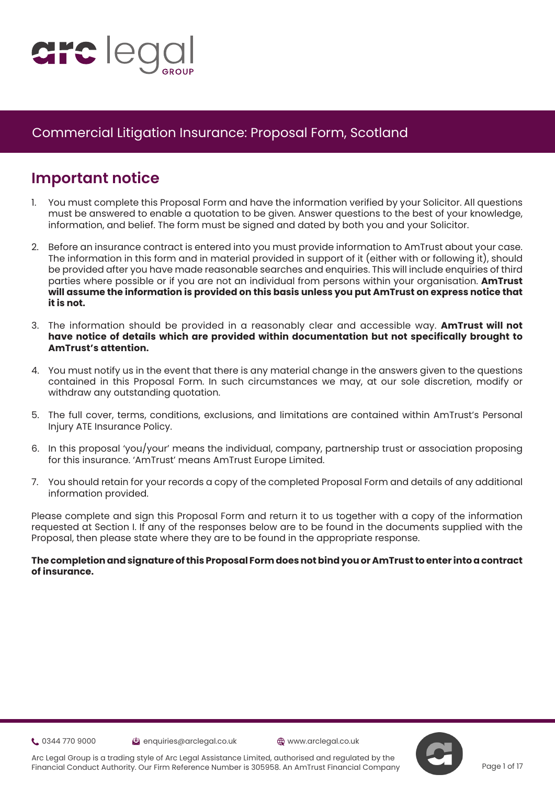

# **Important notice**

- 1. You must complete this Proposal Form and have the information verified by your Solicitor. All questions must be answered to enable a quotation to be given. Answer questions to the best of your knowledge, information, and belief. The form must be signed and dated by both you and your Solicitor.
- 2. Before an insurance contract is entered into you must provide information to AmTrust about your case. The information in this form and in material provided in support of it (either with or following it), should be provided after you have made reasonable searches and enquiries. This will include enquiries of third parties where possible or if you are not an individual from persons within your organisation. **AmTrust will assume the information is provided on this basis unless you put AmTrust on express notice that it is not.**
- 3. The information should be provided in a reasonably clear and accessible way. **AmTrust will not have notice of details which are provided within documentation but not specifically brought to AmTrust's attention.**
- 4. You must notify us in the event that there is any material change in the answers given to the questions contained in this Proposal Form. In such circumstances we may, at our sole discretion, modify or withdraw any outstanding quotation.
- 5. The full cover, terms, conditions, exclusions, and limitations are contained within AmTrust's Personal Injury ATE Insurance Policy.
- 6. In this proposal 'you/your' means the individual, company, partnership trust or association proposing for this insurance. 'AmTrust' means AmTrust Europe Limited.
- 7. You should retain for your records a copy of the completed Proposal Form and details of any additional information provided.

Please complete and sign this Proposal Form and return it to us together with a copy of the information requested at Section I. If any of the responses below are to be found in the documents supplied with the Proposal, then please state where they are to be found in the appropriate response.

#### **The completion and signature of this Proposal Form does not bind you or AmTrust to enter into a contract of insurance.**

**t.** 0344 770 9000 **enquiries@arclegal.co.uk** @www.arclegal.co.uk





Arc Legal Group is a trading style of Arc Legal Assistance Limited, authorised and regulated by the Financial Conduct Authority. Our Firm Reference Number is 305958. An AmTrust Financial Company

Page 1 of 17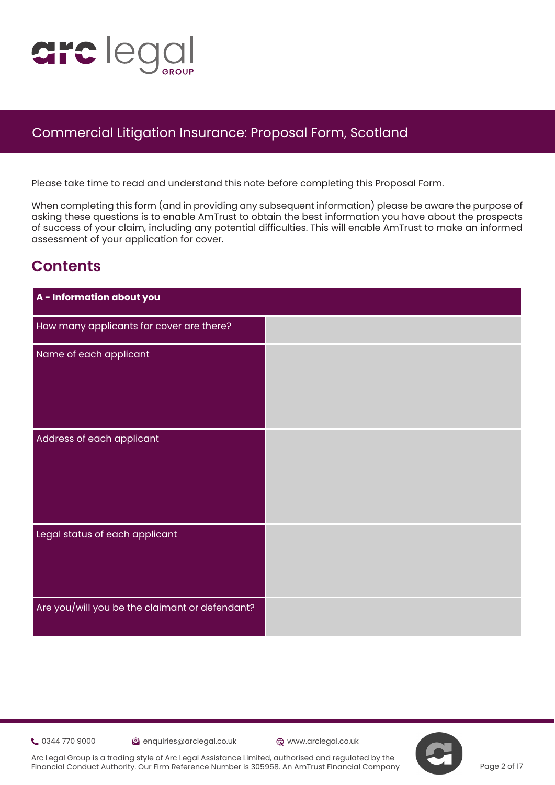

Please take time to read and understand this note before completing this Proposal Form.

When completing this form (and in providing any subsequent information) please be aware the purpose of asking these questions is to enable AmTrust to obtain the best information you have about the prospects of s[uc](https://www.justice.gov.uk/courts/procedure-rules/civil/protocol)cess of your claim, including any potential difficulties. This will enable AmTrust to make an informed assessment of your application for cover.

# **Contents**

| A - Information about you                      |  |
|------------------------------------------------|--|
| How many applicants for cover are there?       |  |
| Name of each applicant                         |  |
|                                                |  |
|                                                |  |
| Address of each applicant                      |  |
|                                                |  |
|                                                |  |
|                                                |  |
| Legal status of each applicant                 |  |
|                                                |  |
|                                                |  |
| Are you/will you be the claimant or defendant? |  |
|                                                |  |

0344 770 9000 enquiries@arclegal.co.uk www.arclegal.co.uk

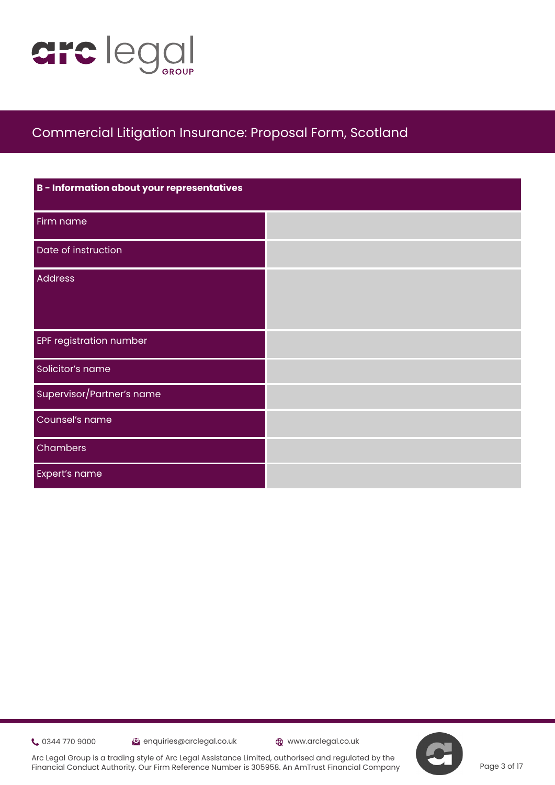

| B - Information about your representatives |  |
|--------------------------------------------|--|
| Firm name                                  |  |
| Date of instruction                        |  |
| <b>Address</b>                             |  |
|                                            |  |
| <b>EPF registration number</b>             |  |
| Solicitor's name                           |  |
| Supervisor/Partner's name                  |  |
| Counsel's name                             |  |
| Chambers                                   |  |
| Expert's name                              |  |

**t** 0344 770 9000 **extending the Contract Contract Contract Contract Contract Contract Contract Contract Contract Contract Contract Contract Contract Contract Contract Contract Contract Contract Contract Contract Contract** 



Arc Legal Group is a trading style of Arc Legal Assistance Limited, authorised and regulated by the Financial Conduct Authority. Our Firm Reference Number is 305958. An AmTrust Financial Company

Page 3 of 17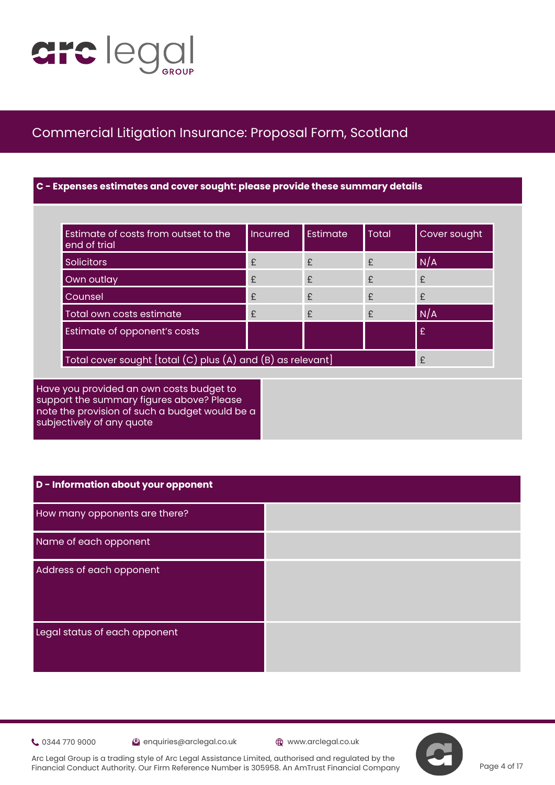

### **C - Expenses estimates and cover sought: please provide these summary details**

| Estimate of costs from outset to the<br>end of trial             | <b>Incurred</b> | Estimate | <b>Total</b> | Cover sought |
|------------------------------------------------------------------|-----------------|----------|--------------|--------------|
| <b>Solicitors</b>                                                | £               | £        | $\mathbf{f}$ | N/A          |
| Own outlay                                                       | £               | £        | $\mathbf{f}$ | £            |
| Counsel                                                          | $\mathbf{f}$    | £        | $\mathbf{f}$ | £            |
| Total own costs estimate                                         | £               | £        | $\mathbf{f}$ | N/A          |
| Estimate of opponent's costs                                     |                 |          |              | £            |
| Total cover sought [total (C) plus (A) and (B) as relevant]<br>£ |                 |          |              |              |

Have you provided an own costs budget to support the summary figures above? Please note the provision of such a budget would be a subjectively of any quote

| D - Information about your opponent |  |
|-------------------------------------|--|
| How many opponents are there?       |  |
| Name of each opponent               |  |
| Address of each opponent            |  |
|                                     |  |
| Legal status of each opponent       |  |
|                                     |  |

0344 770 9000 enquiries@arclegal.co.uk www.arclegal.co.uk



Arc Legal Group is a trading style of Arc Legal Assistance Limited, authorised and regulated by the Financial Conduct Authority. Our Firm Reference Number is 305958. An AmTrust Financial Company

Page 4 of 17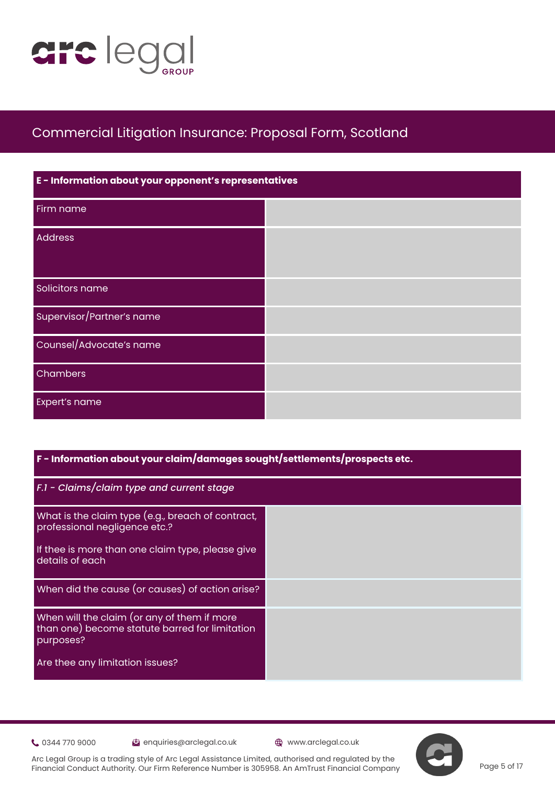

| E - Information about your opponent's representatives |  |  |
|-------------------------------------------------------|--|--|
| Firm name                                             |  |  |
| <b>Address</b>                                        |  |  |
| Solicitors name                                       |  |  |
| Supervisor/Partner's name                             |  |  |
| Counsel/Advocate's name                               |  |  |
| Chambers                                              |  |  |
| Expert's name                                         |  |  |

#### **F - Information about your claim/damages sought/settlements/prospects etc.**

| F.1 - Claims/claim type and current stage                                                                  |  |
|------------------------------------------------------------------------------------------------------------|--|
| What is the claim type (e.g., breach of contract,<br>professional negligence etc.?                         |  |
| If thee is more than one claim type, please give<br>details of each                                        |  |
| When did the cause (or causes) of action arise?                                                            |  |
| When will the claim (or any of them if more<br>than one) become statute barred for limitation<br>purposes? |  |
| Are thee any limitation issues?                                                                            |  |

0344 770 9000 enquiries@arclegal.co.uk www.arclegal.co.uk

Page 5 of 17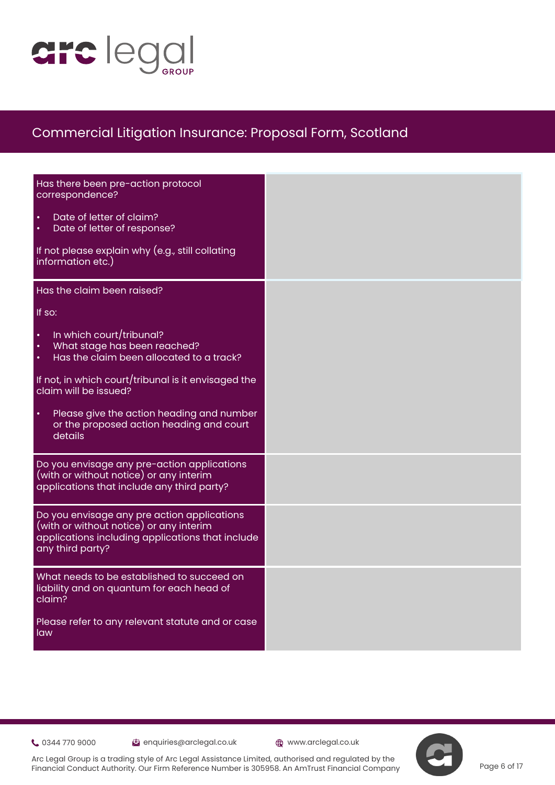

| Has there been pre-action protocol<br>correspondence?<br>Date of letter of claim?<br>Date of letter of response?<br>If not please explain why (e.g., still collating<br>information etc.)                                                                                                                                                                  |  |
|------------------------------------------------------------------------------------------------------------------------------------------------------------------------------------------------------------------------------------------------------------------------------------------------------------------------------------------------------------|--|
| Has the claim been raised?<br>If so:<br>In which court/tribunal?<br>$\bullet$<br>What stage has been reached?<br>Has the claim been allocated to a track?<br>$\bullet$<br>If not, in which court/tribunal is it envisaged the<br>claim will be issued?<br>Please give the action heading and number<br>or the proposed action heading and court<br>details |  |
| Do you envisage any pre-action applications<br>(with or without notice) or any interim<br>applications that include any third party?<br>Do you envisage any pre action applications<br>(with or without notice) or any interim<br>applications including applications that include<br>any third party?                                                     |  |
| What needs to be established to succeed on<br>liability and on quantum for each head of<br>claim?<br>Please refer to any relevant statute and or case<br>law                                                                                                                                                                                               |  |

Community 0344 770 9000 enquiries@arclegal.co.uk @www.arclegal.co.uk

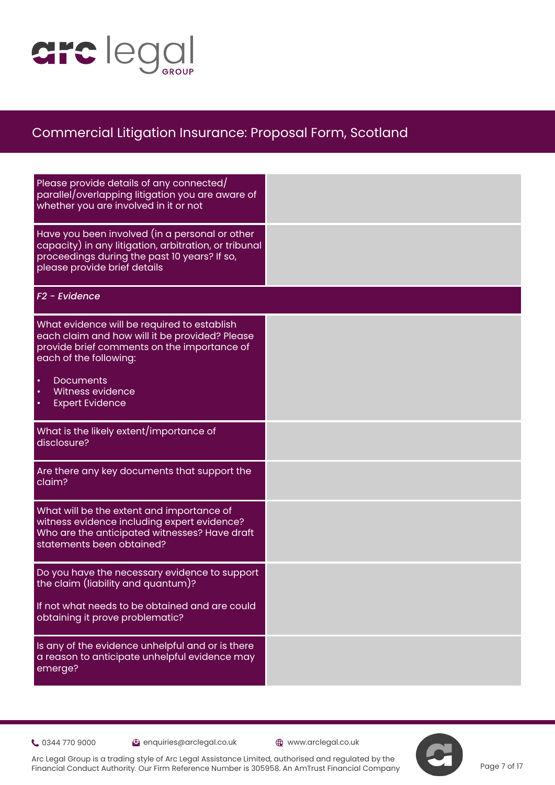

| Please provide details of any connected/<br>parallel/overlapping litigation you are aware of<br>whether you are involved in it or not                                                   |  |
|-----------------------------------------------------------------------------------------------------------------------------------------------------------------------------------------|--|
| Have you been involved (in a personal or other<br>capacity) in any litigation, arbitration, or tribunal<br>proceedings during the past 10 years? If so,<br>please provide brief details |  |
| F <sub>2</sub> - Evidence                                                                                                                                                               |  |
| What evidence will be required to establish<br>each claim and how will it be provided? Please<br>provide brief comments on the importance of<br>each of the following:                  |  |
| <b>Documents</b><br>$\bullet$<br>Witness evidence<br>$\bullet$<br><b>Expert Evidence</b><br>$\bullet$                                                                                   |  |
| What is the likely extent/importance of<br>disclosure?                                                                                                                                  |  |
| Are there any key documents that support the<br>claim?                                                                                                                                  |  |
| What will be the extent and importance of<br>witness evidence including expert evidence?<br>Who are the anticipated witnesses? Have draft<br>statements been obtained?                  |  |
| Do you have the necessary evidence to support<br>the claim (liability and quantum)?                                                                                                     |  |
| If not what needs to be obtained and are could<br>obtaining it prove problematic?                                                                                                       |  |
| Is any of the evidence unhelpful and or is there<br>a reason to anticipate unhelpful evidence may<br>emerge?                                                                            |  |

0344 770 9000 enquiries@arclegal.co.uk www.arclegal.co.uk

Page 7 of 17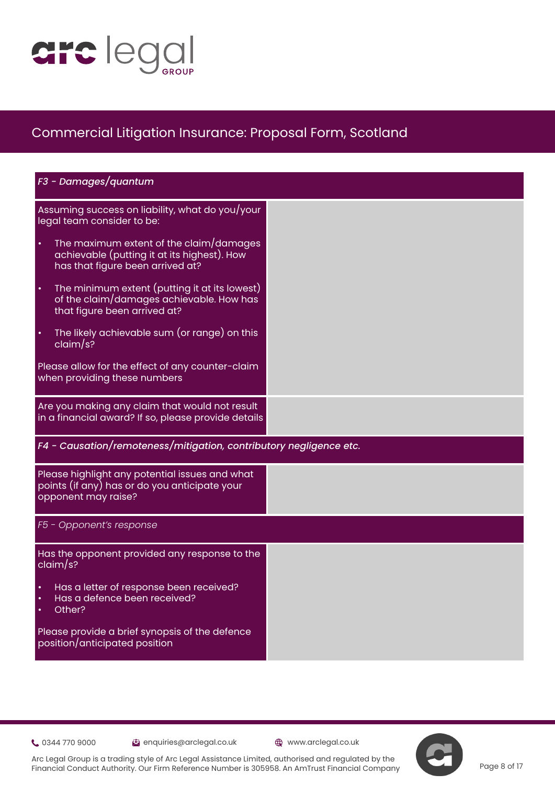

| F3 - Damages/quantum                                                                                                                    |  |
|-----------------------------------------------------------------------------------------------------------------------------------------|--|
| Assuming success on liability, what do you/your<br>legal team consider to be:                                                           |  |
| The maximum extent of the claim/damages<br>$\bullet$<br>achievable (putting it at its highest). How<br>has that figure been arrived at? |  |
| The minimum extent (putting it at its lowest)<br>$\bullet$<br>of the claim/damages achievable. How has<br>that figure been arrived at?  |  |
| The likely achievable sum (or range) on this<br>$\bullet$<br>claim/s?                                                                   |  |
| Please allow for the effect of any counter-claim<br>when providing these numbers                                                        |  |
| Are you making any claim that would not result<br>in a financial award? If so, please provide details                                   |  |
| F4 - Causation/remoteness/mitigation, contributory negligence etc.                                                                      |  |
| Please highlight any potential issues and what<br>points (if any) has or do you anticipate your<br>opponent may raise?                  |  |
| F5 - Opponent's response                                                                                                                |  |
| Has the opponent provided any response to the<br>claim/s?                                                                               |  |
| Has a letter of response been received?<br>Has a defence been received?<br>$\bullet$<br>Other?<br>$\bullet$                             |  |
| Please provide a brief synopsis of the defence<br>position/anticipated position                                                         |  |

0344 770 9000 enquiries@arclegal.co.uk www.arclegal.co.uk

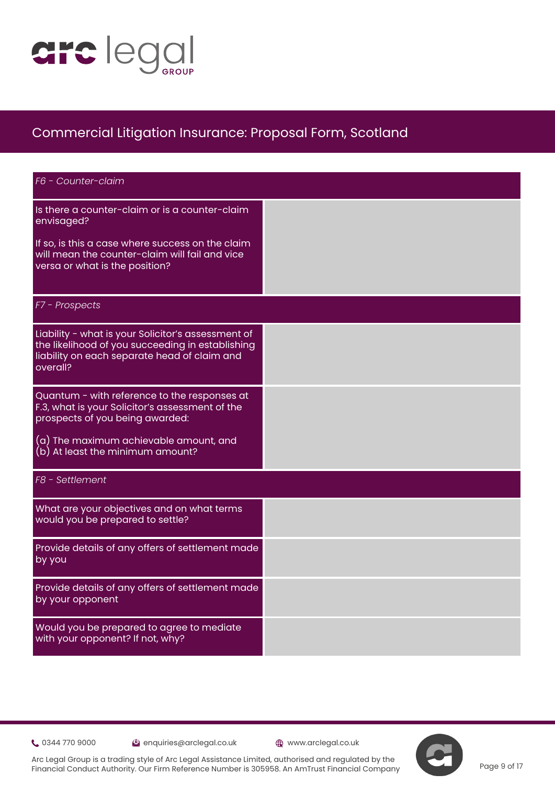

| F6 - Counter-claim                                                                                                                                                 |  |
|--------------------------------------------------------------------------------------------------------------------------------------------------------------------|--|
| Is there a counter-claim or is a counter-claim<br>envisaged?                                                                                                       |  |
| If so, is this a case where success on the claim<br>will mean the counter-claim will fail and vice<br>versa or what is the position?                               |  |
| F7 - Prospects                                                                                                                                                     |  |
| Liability - what is your Solicitor's assessment of<br>the likelihood of you succeeding in establishing<br>liability on each separate head of claim and<br>overall? |  |
| Quantum - with reference to the responses at<br>F.3, what is your Solicitor's assessment of the<br>prospects of you being awarded:                                 |  |
| (a) The maximum achievable amount, and<br>(b) At least the minimum amount?                                                                                         |  |
| F8 - Settlement                                                                                                                                                    |  |
| What are your objectives and on what terms<br>would you be prepared to settle?                                                                                     |  |
| Provide details of any offers of settlement made<br>by you                                                                                                         |  |
| Provide details of any offers of settlement made<br>by your opponent                                                                                               |  |
| Would you be prepared to agree to mediate<br>with your opponent? If not, why?                                                                                      |  |

Community 0344 770 9000 enquiries@arclegal.co.uk @www.arclegal.co.uk

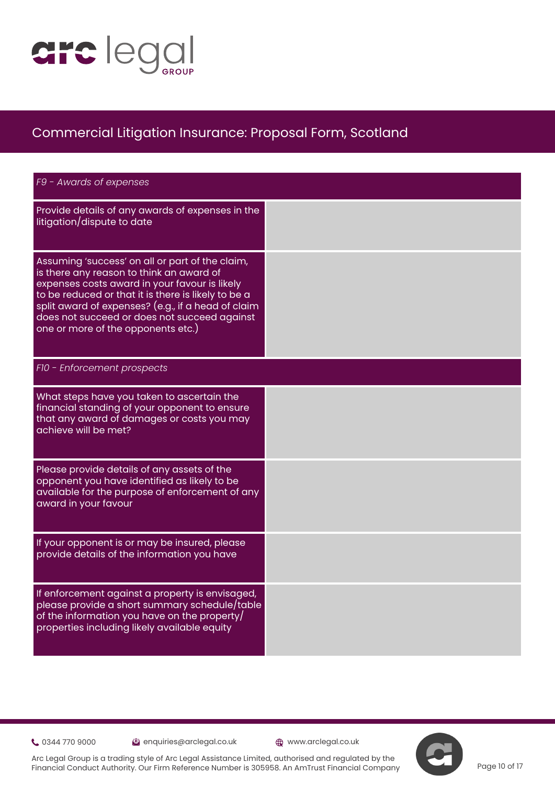

| F9 - Awards of expenses                                                                                                                                                                                                                                                                                                                         |  |  |
|-------------------------------------------------------------------------------------------------------------------------------------------------------------------------------------------------------------------------------------------------------------------------------------------------------------------------------------------------|--|--|
| Provide details of any awards of expenses in the<br>litigation/dispute to date                                                                                                                                                                                                                                                                  |  |  |
| Assuming 'success' on all or part of the claim,<br>is there any reason to think an award of<br>expenses costs award in your favour is likely<br>to be reduced or that it is there is likely to be a<br>split award of expenses? (e.g., if a head of claim<br>does not succeed or does not succeed against<br>one or more of the opponents etc.) |  |  |
| F10 - Enforcement prospects                                                                                                                                                                                                                                                                                                                     |  |  |
| What steps have you taken to ascertain the<br>financial standing of your opponent to ensure<br>that any award of damages or costs you may<br>achieve will be met?                                                                                                                                                                               |  |  |
| Please provide details of any assets of the<br>opponent you have identified as likely to be<br>available for the purpose of enforcement of any<br>award in your favour                                                                                                                                                                          |  |  |
| If your opponent is or may be insured, please<br>provide details of the information you have                                                                                                                                                                                                                                                    |  |  |
| If enforcement against a property is envisaged,<br>please provide a short summary schedule/table<br>of the information you have on the property/<br>properties including likely available equity                                                                                                                                                |  |  |

0344 770 9000 enquiries@arclegal.co.uk www.arclegal.co.uk



Arc Legal Group is a trading style of Arc Legal Assistance Limited, authorised and regulated by the Financial Conduct Authority. Our Firm Reference Number is 305958. An AmTrust Financial Company

Page 10 of 17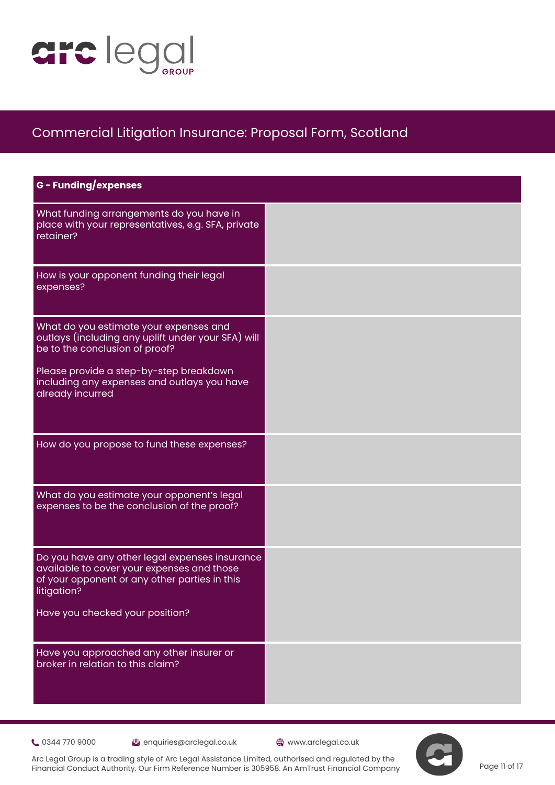

| <b>G</b> - Funding/expenses                                                                                                                                  |  |
|--------------------------------------------------------------------------------------------------------------------------------------------------------------|--|
| What funding arrangements do you have in<br>place with your representatives, e.g. SFA, private<br>retainer?                                                  |  |
| How is your opponent funding their legal<br>expenses?                                                                                                        |  |
| What do you estimate your expenses and<br>outlays (including any uplift under your SFA) will<br>be to the conclusion of proof?                               |  |
| Please provide a step-by-step breakdown<br>including any expenses and outlays you have<br>already incurred                                                   |  |
| How do you propose to fund these expenses?                                                                                                                   |  |
| What do you estimate your opponent's legal<br>expenses to be the conclusion of the proof?                                                                    |  |
| Do you have any other legal expenses insurance<br>available to cover your expenses and those<br>of your opponent or any other parties in this<br>litigation? |  |
| Have you checked your position?                                                                                                                              |  |
| Have you approached any other insurer or<br>broker in relation to this claim?                                                                                |  |

0344 770 9000 enquiries@arclegal.co.uk www.arclegal.co.uk

Arc Legal Group is a trading style of Arc Legal Assistance Limited, authorised and regulated by the Financial Conduct Authority. Our Firm Reference Number is 305958. An AmTrust Financial Company



Page 11 of 17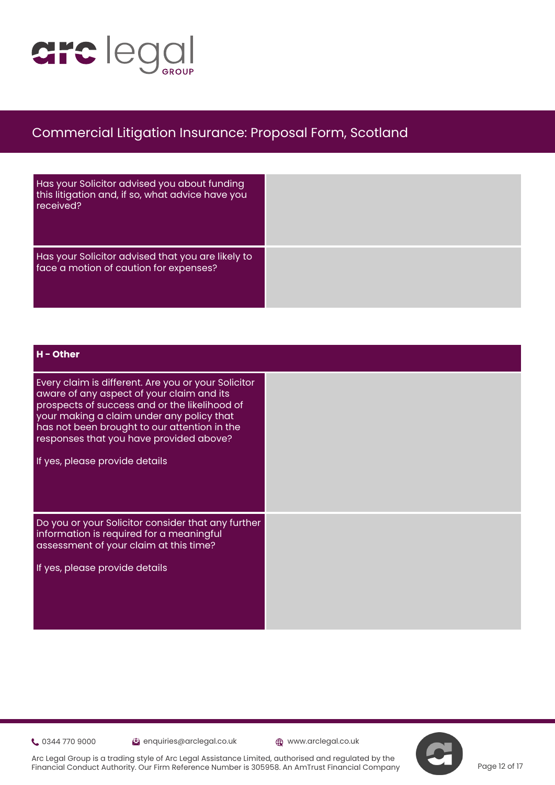

| Has your Solicitor advised you about funding<br>this litigation and, if so, what advice have you<br>received? |  |
|---------------------------------------------------------------------------------------------------------------|--|
| Has your Solicitor advised that you are likely to<br>face a motion of caution for expenses?                   |  |

#### **H - Other**

Every claim is different. Are you or your Solicitor aware of any aspect of your claim and its prospects of success and or the likelihood of your making a claim under any policy that has not been brought to our attention in the responses that you have provided above?

If yes, please provide details

Do you or your Solicitor consider that any further information is required for a meaningful assessment of your claim at this time?

If yes, please provide details

0344 770 9000 enquiries@arclegal.co.uk www.arclegal.co.uk

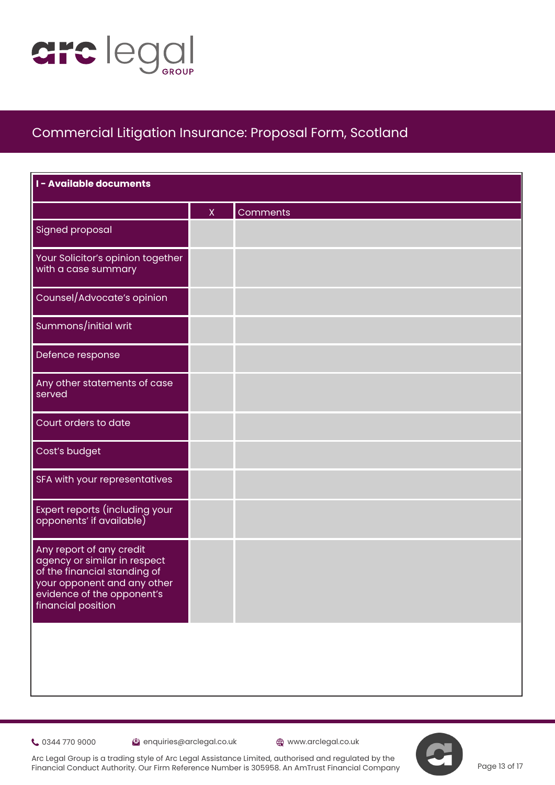

| I - Available documents                                                                                                                                                     |              |          |
|-----------------------------------------------------------------------------------------------------------------------------------------------------------------------------|--------------|----------|
|                                                                                                                                                                             | $\mathsf{X}$ | Comments |
| <b>Signed proposal</b>                                                                                                                                                      |              |          |
| Your Solicitor's opinion together<br>with a case summary                                                                                                                    |              |          |
| Counsel/Advocate's opinion                                                                                                                                                  |              |          |
| Summons/initial writ                                                                                                                                                        |              |          |
| Defence response                                                                                                                                                            |              |          |
| Any other statements of case<br>served                                                                                                                                      |              |          |
| Court orders to date                                                                                                                                                        |              |          |
| Cost's budget                                                                                                                                                               |              |          |
| SFA with your representatives                                                                                                                                               |              |          |
| Expert reports (including your<br>opponents' if available)                                                                                                                  |              |          |
| Any report of any credit<br>agency or similar in respect<br>of the financial standing of<br>your opponent and any other<br>evidence of the opponent's<br>financial position |              |          |
|                                                                                                                                                                             |              |          |

0344 770 9000 enquiries@arclegal.co.uk www.arclegal.co.uk

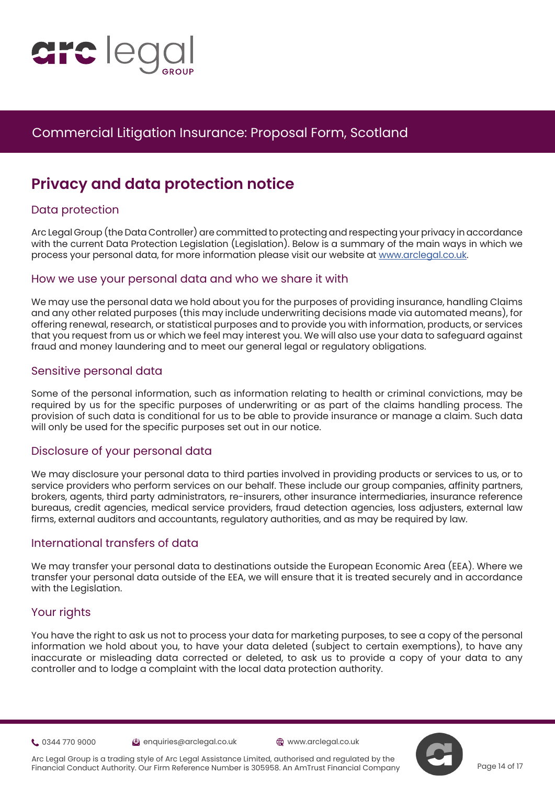

# **Privacy and data protection notice**

### Data protection

Arc L[e](https://www.justice.gov.uk/courts/procedure-rules/civil/protocol)gal Group (the Data Controller) are committed to protecting and respecting your privacy in accordance with the current Data Protection Legislation (Legislation). Below is a summary of the main ways in which we process your personal data, for more information please visit our website at [www.arclegal.co.uk.](https://www.arclegal.co.uk/)

#### How we use your personal data and who we share it with

We may use the personal data we hold about you for the purposes of providing insurance, handling Claims and any other related purposes (this may include underwriting decisions made via automated means), for offering renewal, research, or statistical purposes and to provide you with information, products, or services that you request from us or which we feel may interest you. We will also use your data to safeguard against fraud and money laundering and to meet our general legal or regulatory obligations.

### Sensitive personal data

Some of the personal information, such as information relating to health or criminal convictions, may be required by us for the specific purposes of underwriting or as part of the claims handling process. The provision of such data is conditional for us to be able to provide insurance or manage a claim. Such data will only be used for the specific purposes set out in our notice.

#### Disclosure of your personal data

We may disclosure your personal data to third parties involved in providing products or services to us, or to service providers who perform services on our behalf. These include our group companies, affinity partners, brokers, agents, third party administrators, re-insurers, other insurance intermediaries, insurance reference bureaus, credit agencies, medical service providers, fraud detection agencies, loss adjusters, external law firms, external auditors and accountants, regulatory authorities, and as may be required by law.

### International transfers of data

We may transfer your personal data to destinations outside the European Economic Area (EEA). Where we transfer your personal data outside of the EEA, we will ensure that it is treated securely and in accordance with the Legislation.

#### Your rights

You have the right to ask us not to process your data for marketing purposes, to see a copy of the personal information we hold about you, to have your data deleted (subject to certain exemptions), to have any inaccurate or misleading data corrected or deleted, to ask us to provide a copy of your data to any controller and to lodge a complaint with the local data protection authority.

0344 770 9000 enquiries@arclegal.co.uk www.arclegal.co.uk



Arc Legal Group is a trading style of Arc Legal Assistance Limited, authorised and regulated by the Financial Conduct Authority. Our Firm Reference Number is 305958. An AmTrust Financial Company

Page 14 of 17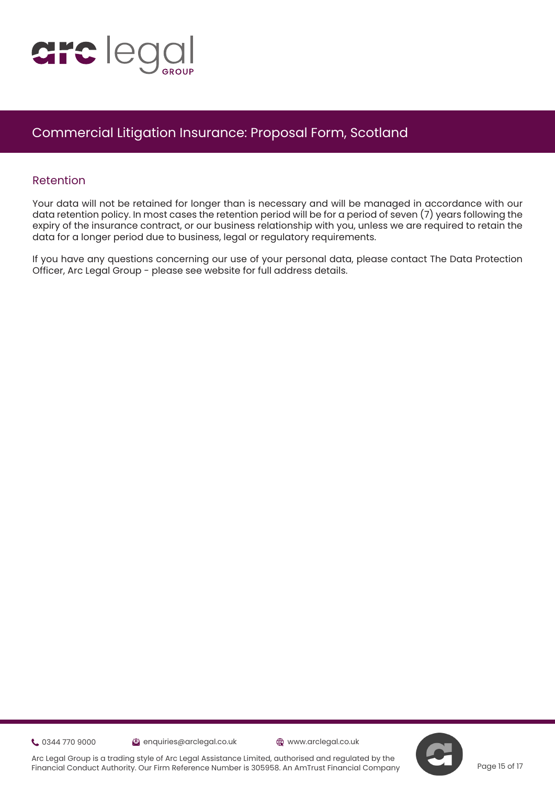

#### Retention

Your data will not be retained for longer than is necessary and will be managed in accordance with our data retention policy. In most cases the retention period will be for a period of seven (7) years following the expiry of the insurance contract, or our business relationship with you, unless we are required to retain the dat[a](https://www.justice.gov.uk/courts/procedure-rules/civil/protocol) for a longer period due to business, legal or regulatory requirements.

If you have any questions concerning our use of your personal data, please contact The Data Protection Officer, Arc Legal Group - please see website for full address details.

0344 770 9000 enquiries@arclegal.co.uk www.arclegal.co.uk

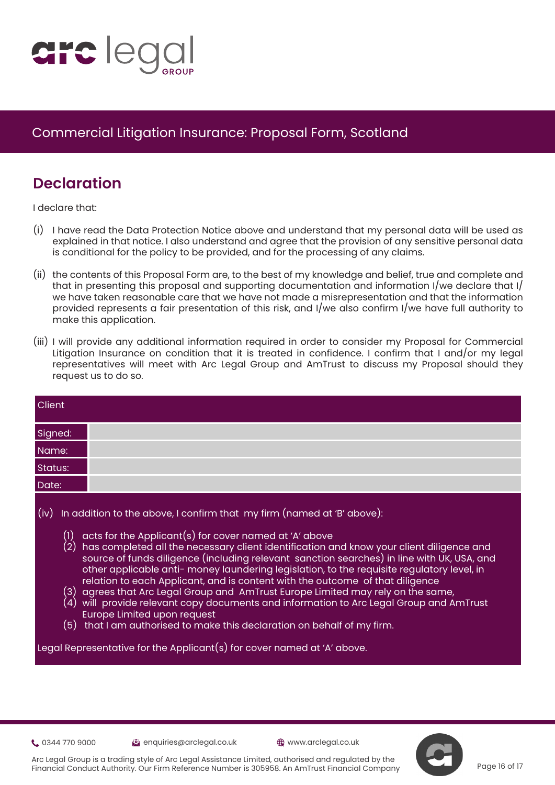

# **Declaration**

I declare that:

- (i) [I](https://www.justice.gov.uk/courts/procedure-rules/civil/protocol) have read the Data Protection Notice above and understand that my personal data will be used as explained in that notice. I also understand and agree that the provision of any sensitive personal data is conditional for the policy to be provided, and for the processing of any claims.
- (ii) the contents of this Proposal Form are, to the best of my knowledge and belief, true and complete and that in presenting this proposal and supporting documentation and information I/we declare that I/ we have taken reasonable care that we have not made a misrepresentation and that the information provided represents a fair presentation of this risk, and I/we also confirm I/we have full authority to make this application.
- (iii) I will provide any additional information required in order to consider my Proposal for Commercial Litigation Insurance on condition that it is treated in confidence. I confirm that I and/or my legal representatives will meet with Arc Legal Group and AmTrust to discuss my Proposal should they request us to do so.

| Client                                                                                                                                                                                                                                                                                                                                                                                                                                                                                                                                                                                                                                                                                                                                                                                                                                                |                                                                         |
|-------------------------------------------------------------------------------------------------------------------------------------------------------------------------------------------------------------------------------------------------------------------------------------------------------------------------------------------------------------------------------------------------------------------------------------------------------------------------------------------------------------------------------------------------------------------------------------------------------------------------------------------------------------------------------------------------------------------------------------------------------------------------------------------------------------------------------------------------------|-------------------------------------------------------------------------|
| Signed:                                                                                                                                                                                                                                                                                                                                                                                                                                                                                                                                                                                                                                                                                                                                                                                                                                               |                                                                         |
| Name:                                                                                                                                                                                                                                                                                                                                                                                                                                                                                                                                                                                                                                                                                                                                                                                                                                                 |                                                                         |
| Status:                                                                                                                                                                                                                                                                                                                                                                                                                                                                                                                                                                                                                                                                                                                                                                                                                                               |                                                                         |
| Date:                                                                                                                                                                                                                                                                                                                                                                                                                                                                                                                                                                                                                                                                                                                                                                                                                                                 |                                                                         |
| In addition to the above, I confirm that my firm (named at 'B' above):<br>(iv)<br>acts for the Applicant(s) for cover named at 'A' above<br>$\left(1\right)$<br>(2) has completed all the necessary client identification and know your client diligence and<br>source of funds diligence (including relevant sanction searches) in line with UK, USA, and<br>other applicable anti- money laundering legislation, to the requisite regulatory level, in<br>relation to each Applicant, and is content with the outcome of that diligence<br>(3) agrees that Arc Legal Group and  AmTrust Europe Limited may rely on the same,<br>$(4)\,$ will $\,$ provide relevant copy documents and information to Arc Legal Group and AmTrust<br><b>Europe Limited upon request</b><br>$(5)$ that I am authorised to make this declaration on behalf of my firm. |                                                                         |
|                                                                                                                                                                                                                                                                                                                                                                                                                                                                                                                                                                                                                                                                                                                                                                                                                                                       | Legal Representative for the Applicant(s) for cover named at 'A' above. |

0344 770 9000 enquiries@arclegal.co.uk www.arclegal.co.uk